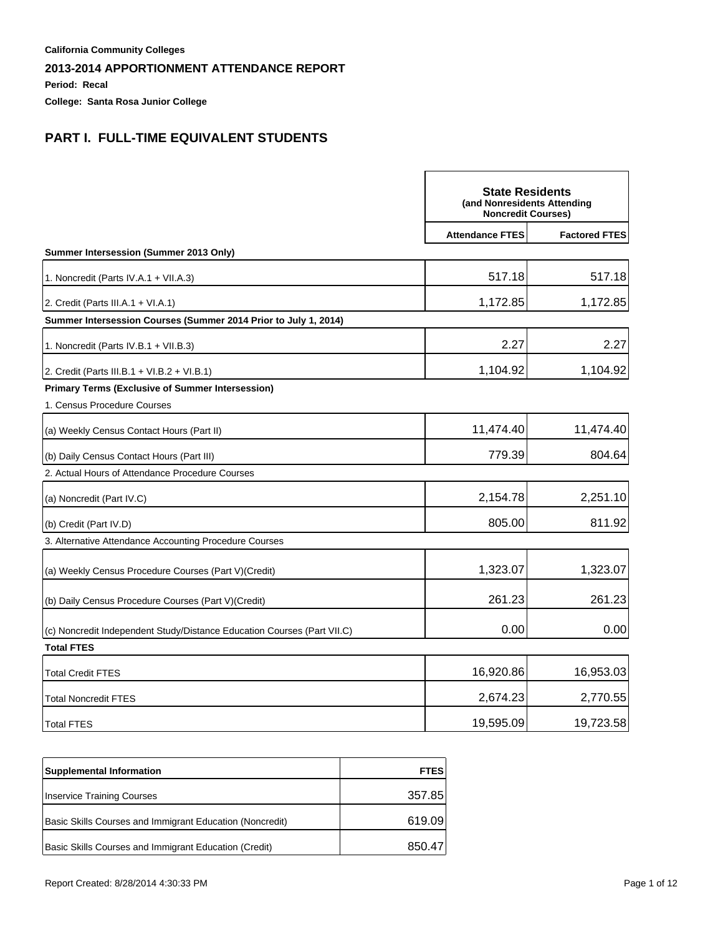**Period: Recal**

**College: Santa Rosa Junior College**

# **PART I. FULL-TIME EQUIVALENT STUDENTS**

|                                                                         | <b>State Residents</b><br>(and Nonresidents Attending<br><b>Noncredit Courses)</b> |                      |
|-------------------------------------------------------------------------|------------------------------------------------------------------------------------|----------------------|
|                                                                         | <b>Attendance FTES</b>                                                             | <b>Factored FTES</b> |
| Summer Intersession (Summer 2013 Only)                                  |                                                                                    |                      |
| 1. Noncredit (Parts IV.A.1 + VII.A.3)                                   | 517.18                                                                             | 517.18               |
| 2. Credit (Parts III.A.1 + VI.A.1)                                      | 1,172.85                                                                           | 1,172.85             |
| Summer Intersession Courses (Summer 2014 Prior to July 1, 2014)         |                                                                                    |                      |
| 1. Noncredit (Parts IV.B.1 + VII.B.3)                                   | 2.27                                                                               | 2.27                 |
| 2. Credit (Parts III.B.1 + VI.B.2 + VI.B.1)                             | 1,104.92                                                                           | 1,104.92             |
| <b>Primary Terms (Exclusive of Summer Intersession)</b>                 |                                                                                    |                      |
| 1. Census Procedure Courses                                             |                                                                                    |                      |
| (a) Weekly Census Contact Hours (Part II)                               | 11,474.40                                                                          | 11,474.40            |
| (b) Daily Census Contact Hours (Part III)                               | 779.39                                                                             | 804.64               |
| 2. Actual Hours of Attendance Procedure Courses                         |                                                                                    |                      |
| (a) Noncredit (Part IV.C)                                               | 2,154.78                                                                           | 2,251.10             |
| (b) Credit (Part IV.D)                                                  | 805.00                                                                             | 811.92               |
| 3. Alternative Attendance Accounting Procedure Courses                  |                                                                                    |                      |
| (a) Weekly Census Procedure Courses (Part V) (Credit)                   | 1,323.07                                                                           | 1,323.07             |
| (b) Daily Census Procedure Courses (Part V)(Credit)                     | 261.23                                                                             | 261.23               |
| (c) Noncredit Independent Study/Distance Education Courses (Part VII.C) | 0.00                                                                               | 0.00                 |
| <b>Total FTES</b>                                                       |                                                                                    |                      |
| <b>Total Credit FTES</b>                                                | 16,920.86                                                                          | 16,953.03            |
| <b>Total Noncredit FTES</b>                                             | 2,674.23                                                                           | 2,770.55             |
| <b>Total FTES</b>                                                       | 19,595.09                                                                          | 19,723.58            |

| <b>Supplemental Information</b>                          | <b>FTES</b> |
|----------------------------------------------------------|-------------|
| <b>Inservice Training Courses</b>                        | 357.85      |
| Basic Skills Courses and Immigrant Education (Noncredit) | 619.09      |
| Basic Skills Courses and Immigrant Education (Credit)    | 850.47      |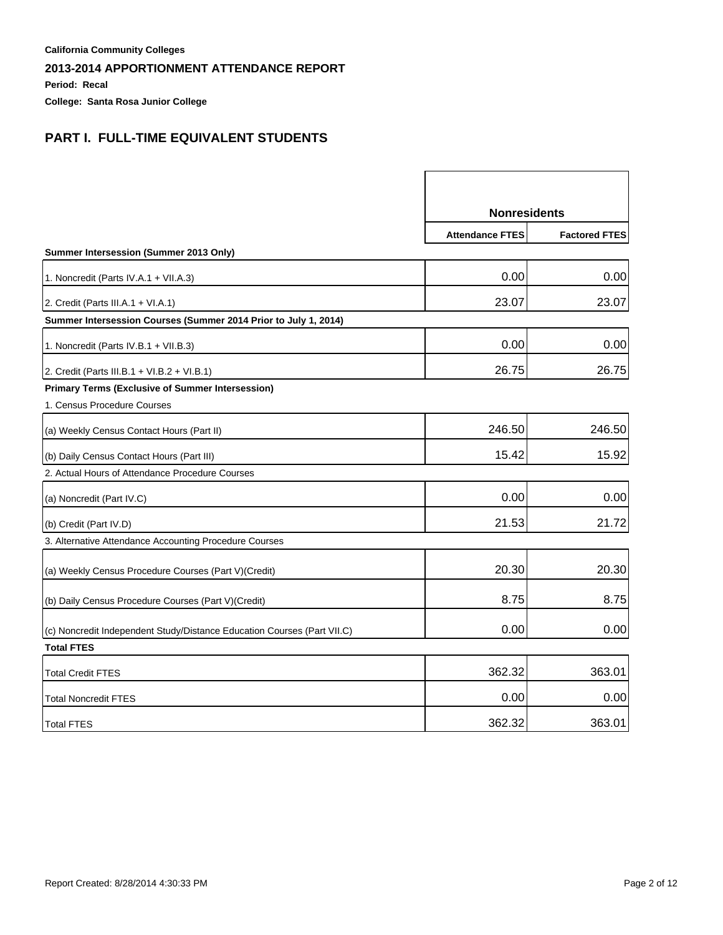**Period: Recal**

**College: Santa Rosa Junior College**

# **PART I. FULL-TIME EQUIVALENT STUDENTS**

|                                                                         | <b>Nonresidents</b>    |                      |
|-------------------------------------------------------------------------|------------------------|----------------------|
|                                                                         | <b>Attendance FTES</b> | <b>Factored FTES</b> |
| Summer Intersession (Summer 2013 Only)                                  |                        |                      |
| 1. Noncredit (Parts IV.A.1 + VII.A.3)                                   | 0.00                   | 0.00                 |
| 2. Credit (Parts III.A.1 + VI.A.1)                                      | 23.07                  | 23.07                |
| Summer Intersession Courses (Summer 2014 Prior to July 1, 2014)         |                        |                      |
| 1. Noncredit (Parts IV.B.1 + VII.B.3)                                   | 0.00                   | 0.00                 |
| 2. Credit (Parts III.B.1 + VI.B.2 + VI.B.1)                             | 26.75                  | 26.75                |
| <b>Primary Terms (Exclusive of Summer Intersession)</b>                 |                        |                      |
| 1. Census Procedure Courses                                             |                        |                      |
| (a) Weekly Census Contact Hours (Part II)                               | 246.50                 | 246.50               |
| (b) Daily Census Contact Hours (Part III)                               | 15.42                  | 15.92                |
| 2. Actual Hours of Attendance Procedure Courses                         |                        |                      |
| (a) Noncredit (Part IV.C)                                               | 0.00                   | 0.00                 |
| (b) Credit (Part IV.D)                                                  | 21.53                  | 21.72                |
| 3. Alternative Attendance Accounting Procedure Courses                  |                        |                      |
| (a) Weekly Census Procedure Courses (Part V) (Credit)                   | 20.30                  | 20.30                |
| (b) Daily Census Procedure Courses (Part V)(Credit)                     | 8.75                   | 8.75                 |
| (c) Noncredit Independent Study/Distance Education Courses (Part VII.C) | 0.00                   | 0.00                 |
| <b>Total FTES</b>                                                       |                        |                      |
| <b>Total Credit FTES</b>                                                | 362.32                 | 363.01               |
| <b>Total Noncredit FTES</b>                                             | 0.00                   | 0.00                 |
| <b>Total FTES</b>                                                       | 362.32                 | 363.01               |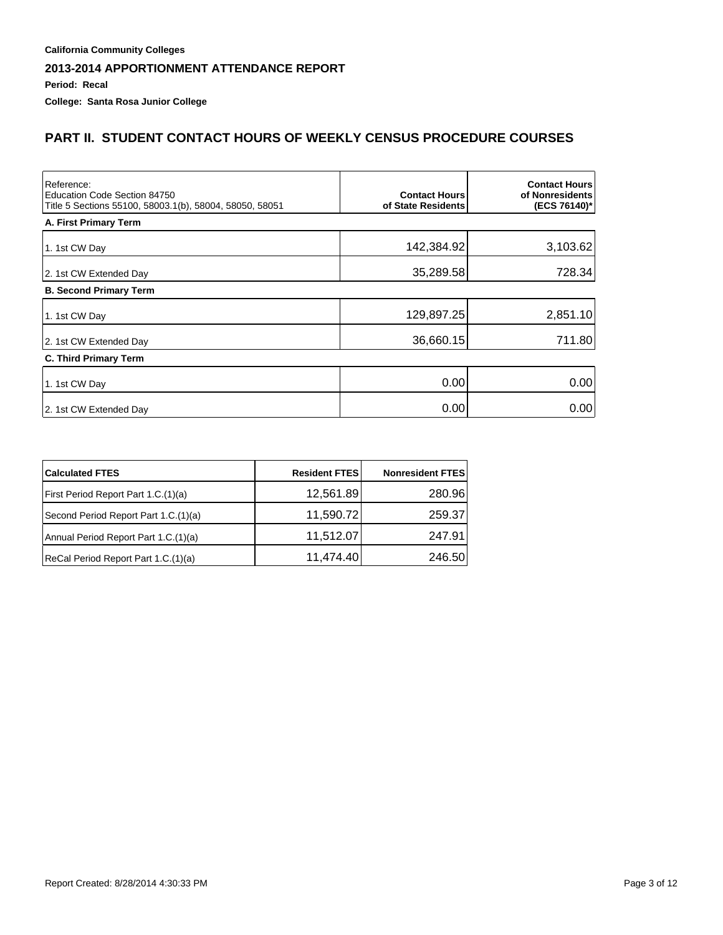**Period: Recal**

**College: Santa Rosa Junior College**

### **PART II. STUDENT CONTACT HOURS OF WEEKLY CENSUS PROCEDURE COURSES**

| Reference:<br>Education Code Section 84750<br>Title 5 Sections 55100, 58003.1(b), 58004, 58050, 58051 | <b>Contact Hours</b><br>of State Residents | <b>Contact Hours</b><br>of Nonresidents<br>(ECS 76140)* |
|-------------------------------------------------------------------------------------------------------|--------------------------------------------|---------------------------------------------------------|
| A. First Primary Term                                                                                 |                                            |                                                         |
| 1. 1st CW Day                                                                                         | 142,384.92                                 | 3,103.62                                                |
| 2. 1st CW Extended Day                                                                                | 35,289.58                                  | 728.34                                                  |
| <b>B. Second Primary Term</b>                                                                         |                                            |                                                         |
| 1. 1st CW Day                                                                                         | 129,897.25                                 | 2,851.10                                                |
| 2. 1st CW Extended Day                                                                                | 36,660.15                                  | 711.80                                                  |
| <b>C. Third Primary Term</b>                                                                          |                                            |                                                         |
| 1. 1st CW Day                                                                                         | 0.00                                       | 0.00                                                    |
| 2. 1st CW Extended Day                                                                                | 0.00                                       | 0.00                                                    |

| <b>Calculated FTES</b>               | <b>Resident FTES</b> | <b>Nonresident FTES</b> |
|--------------------------------------|----------------------|-------------------------|
| First Period Report Part 1.C.(1)(a)  | 12,561.89            | 280.96                  |
| Second Period Report Part 1.C.(1)(a) | 11,590.72            | 259.37                  |
| Annual Period Report Part 1.C.(1)(a) | 11,512.07            | 247.91                  |
| ReCal Period Report Part 1.C.(1)(a)  | 11,474.40            | 246.50                  |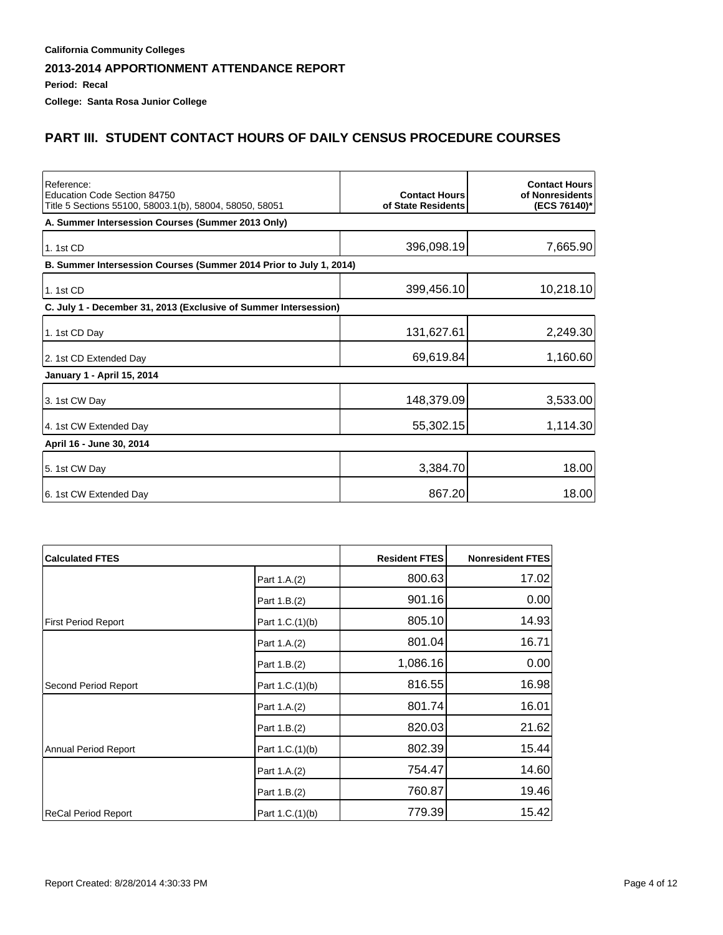**Period: Recal**

**College: Santa Rosa Junior College**

## **PART III. STUDENT CONTACT HOURS OF DAILY CENSUS PROCEDURE COURSES**

| Reference:<br>Education Code Section 84750<br>Title 5 Sections 55100, 58003.1(b), 58004, 58050, 58051 | <b>Contact Hours</b><br>of State Residents | <b>Contact Hours</b><br>of Nonresidents<br>(ECS 76140)* |
|-------------------------------------------------------------------------------------------------------|--------------------------------------------|---------------------------------------------------------|
| A. Summer Intersession Courses (Summer 2013 Only)                                                     |                                            |                                                         |
| 1.1st CD                                                                                              | 396,098.19                                 | 7,665.90                                                |
| B. Summer Intersession Courses (Summer 2014 Prior to July 1, 2014)                                    |                                            |                                                         |
| 1. 1st CD                                                                                             | 399,456.10                                 | 10,218.10                                               |
| C. July 1 - December 31, 2013 (Exclusive of Summer Intersession)                                      |                                            |                                                         |
| 1. 1st CD Day                                                                                         | 131,627.61                                 | 2,249.30                                                |
| 2. 1st CD Extended Day                                                                                | 69,619.84                                  | 1,160.60                                                |
| January 1 - April 15, 2014                                                                            |                                            |                                                         |
| 3. 1st CW Day                                                                                         | 148,379.09                                 | 3,533.00                                                |
| 4. 1st CW Extended Day                                                                                | 55,302.15                                  | 1,114.30                                                |
| April 16 - June 30, 2014                                                                              |                                            |                                                         |
| 5. 1st CW Day                                                                                         | 3,384.70                                   | 18.00                                                   |
| 6. 1st CW Extended Day                                                                                | 867.20                                     | 18.00                                                   |

| <b>Calculated FTES</b>     |                 | <b>Resident FTES</b> | <b>Nonresident FTES</b> |
|----------------------------|-----------------|----------------------|-------------------------|
|                            | Part 1.A.(2)    | 800.63               | 17.02                   |
|                            | Part 1.B.(2)    | 901.16               | 0.00                    |
| <b>First Period Report</b> | Part 1.C.(1)(b) | 805.10               | 14.93                   |
|                            | Part 1.A.(2)    | 801.04               | 16.71                   |
|                            | Part 1.B.(2)    | 1,086.16             | 0.00                    |
| Second Period Report       | Part 1.C.(1)(b) | 816.55               | 16.98                   |
|                            | Part 1.A.(2)    | 801.74               | 16.01                   |
|                            | Part 1.B.(2)    | 820.03               | 21.62                   |
| Annual Period Report       | Part 1.C.(1)(b) | 802.39               | 15.44                   |
|                            | Part 1.A.(2)    | 754.47               | 14.60                   |
|                            | Part 1.B.(2)    | 760.87               | 19.46                   |
| ReCal Period Report        | Part 1.C.(1)(b) | 779.39               | 15.42                   |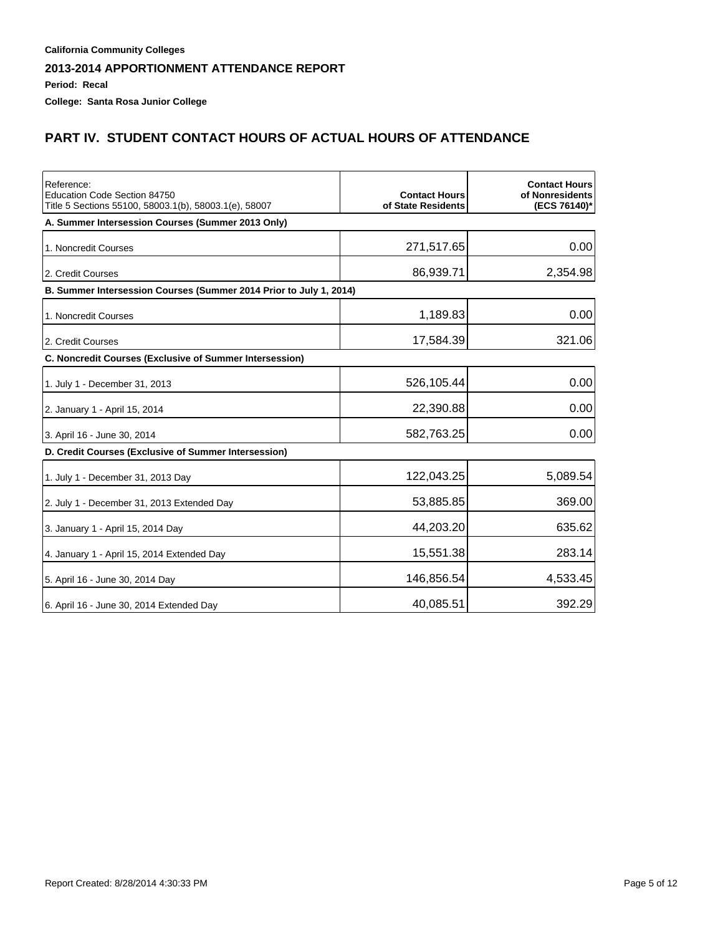**Period: Recal**

**College: Santa Rosa Junior College**

# **PART IV. STUDENT CONTACT HOURS OF ACTUAL HOURS OF ATTENDANCE**

| Reference:<br>Education Code Section 84750<br>Title 5 Sections 55100, 58003.1(b), 58003.1(e), 58007 | <b>Contact Hours</b><br>of State Residents | <b>Contact Hours</b><br>of Nonresidents<br>(ECS 76140)* |
|-----------------------------------------------------------------------------------------------------|--------------------------------------------|---------------------------------------------------------|
| A. Summer Intersession Courses (Summer 2013 Only)                                                   |                                            |                                                         |
| 1. Noncredit Courses                                                                                | 271,517.65                                 | 0.00                                                    |
| 2. Credit Courses                                                                                   | 86,939.71                                  | 2,354.98                                                |
| B. Summer Intersession Courses (Summer 2014 Prior to July 1, 2014)                                  |                                            |                                                         |
| 1. Noncredit Courses                                                                                | 1,189.83                                   | 0.00                                                    |
| 2. Credit Courses                                                                                   | 17,584.39                                  | 321.06                                                  |
| C. Noncredit Courses (Exclusive of Summer Intersession)                                             |                                            |                                                         |
| 1. July 1 - December 31, 2013                                                                       | 526,105.44                                 | 0.00                                                    |
| 2. January 1 - April 15, 2014                                                                       | 22,390.88                                  | 0.00                                                    |
| 3. April 16 - June 30, 2014                                                                         | 582,763.25                                 | 0.00                                                    |
| D. Credit Courses (Exclusive of Summer Intersession)                                                |                                            |                                                         |
| 1. July 1 - December 31, 2013 Day                                                                   | 122,043.25                                 | 5,089.54                                                |
| 2. July 1 - December 31, 2013 Extended Day                                                          | 53,885.85                                  | 369.00                                                  |
| 3. January 1 - April 15, 2014 Day                                                                   | 44,203.20                                  | 635.62                                                  |
| 4. January 1 - April 15, 2014 Extended Day                                                          | 15,551.38                                  | 283.14                                                  |
| 5. April 16 - June 30, 2014 Day                                                                     | 146,856.54                                 | 4,533.45                                                |
| 6. April 16 - June 30, 2014 Extended Day                                                            | 40,085.51                                  | 392.29                                                  |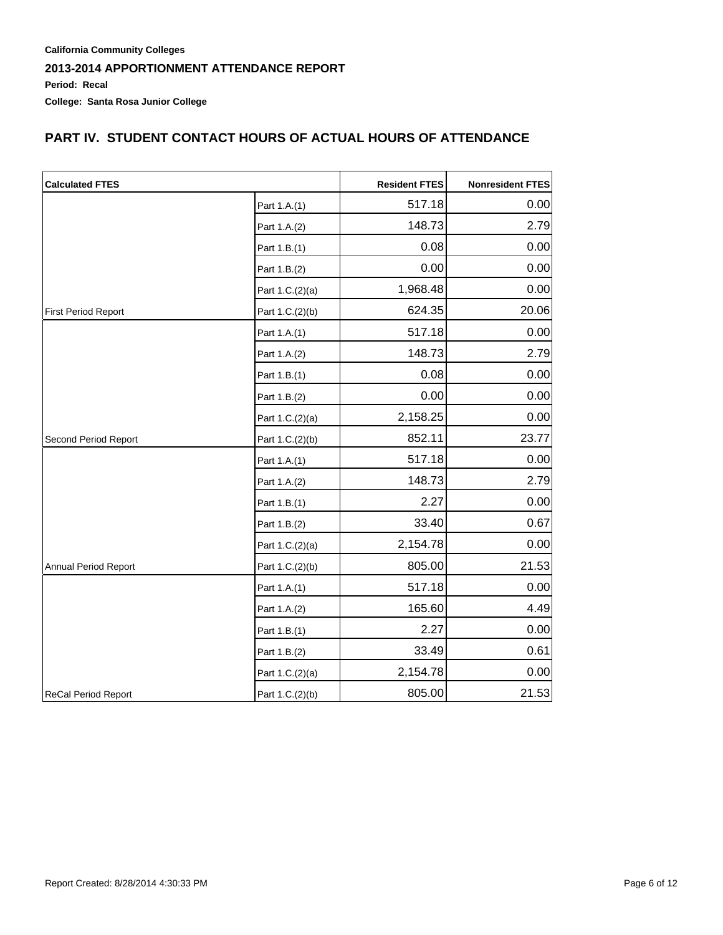## **PART IV. STUDENT CONTACT HOURS OF ACTUAL HOURS OF ATTENDANCE**

| <b>Calculated FTES</b>     |                 | <b>Resident FTES</b> | <b>Nonresident FTES</b> |
|----------------------------|-----------------|----------------------|-------------------------|
|                            | Part 1.A.(1)    | 517.18               | 0.00                    |
|                            | Part 1.A.(2)    | 148.73               | 2.79                    |
|                            | Part 1.B.(1)    | 0.08                 | 0.00                    |
|                            | Part 1.B.(2)    | 0.00                 | 0.00                    |
|                            | Part 1.C.(2)(a) | 1,968.48             | 0.00                    |
| First Period Report        | Part 1.C.(2)(b) | 624.35               | 20.06                   |
|                            | Part 1.A.(1)    | 517.18               | 0.00                    |
|                            | Part 1.A.(2)    | 148.73               | 2.79                    |
|                            | Part 1.B.(1)    | 0.08                 | 0.00                    |
|                            | Part 1.B.(2)    | 0.00                 | 0.00                    |
|                            | Part 1.C.(2)(a) | 2,158.25             | 0.00                    |
| Second Period Report       | Part 1.C.(2)(b) | 852.11               | 23.77                   |
|                            | Part 1.A.(1)    | 517.18               | 0.00                    |
|                            | Part 1.A.(2)    | 148.73               | 2.79                    |
|                            | Part 1.B.(1)    | 2.27                 | 0.00                    |
|                            | Part 1.B.(2)    | 33.40                | 0.67                    |
|                            | Part 1.C.(2)(a) | 2,154.78             | 0.00                    |
| Annual Period Report       | Part 1.C.(2)(b) | 805.00               | 21.53                   |
|                            | Part 1.A.(1)    | 517.18               | 0.00                    |
|                            | Part 1.A.(2)    | 165.60               | 4.49                    |
|                            | Part 1.B.(1)    | 2.27                 | 0.00                    |
|                            | Part 1.B.(2)    | 33.49                | 0.61                    |
|                            | Part 1.C.(2)(a) | 2,154.78             | 0.00                    |
| <b>ReCal Period Report</b> | Part 1.C.(2)(b) | 805.00               | 21.53                   |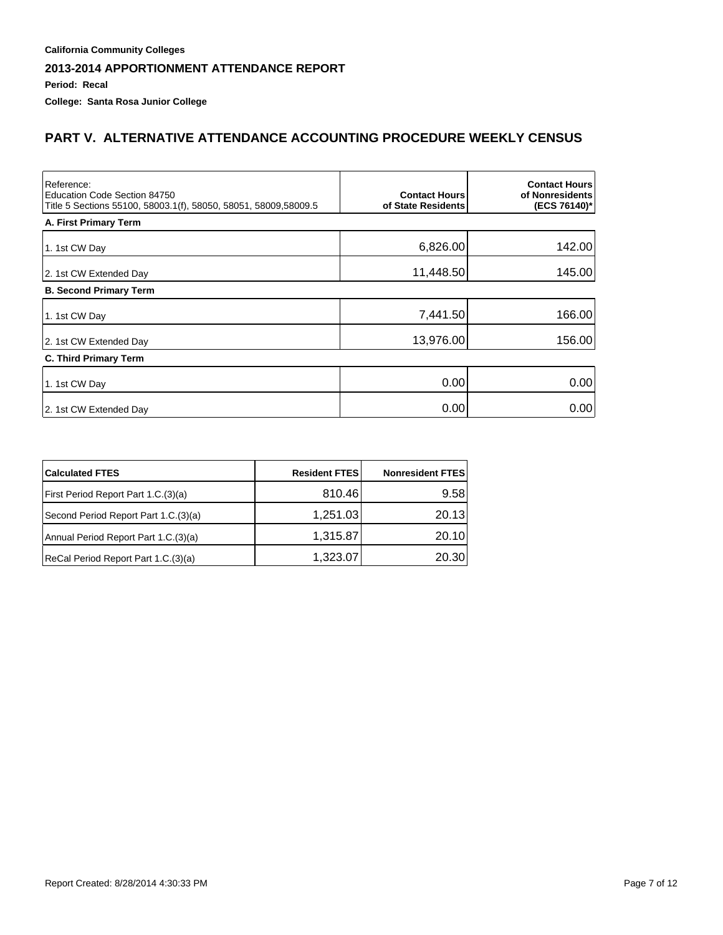**Period: Recal**

**College: Santa Rosa Junior College**

### **PART V. ALTERNATIVE ATTENDANCE ACCOUNTING PROCEDURE WEEKLY CENSUS**

| Reference:<br>Education Code Section 84750<br>Title 5 Sections 55100, 58003.1(f), 58050, 58051, 58009,58009.5 | <b>Contact Hours</b><br>of State Residents | <b>Contact Hours</b><br>of Nonresidents<br>(ECS 76140)* |
|---------------------------------------------------------------------------------------------------------------|--------------------------------------------|---------------------------------------------------------|
| A. First Primary Term                                                                                         |                                            |                                                         |
| 1. 1st CW Day                                                                                                 | 6,826.00                                   | 142.00                                                  |
| 2. 1st CW Extended Day                                                                                        | 11,448.50                                  | 145.00                                                  |
| <b>B. Second Primary Term</b>                                                                                 |                                            |                                                         |
| 1. 1st CW Day                                                                                                 | 7,441.50                                   | 166.00                                                  |
| 2. 1st CW Extended Day                                                                                        | 13,976.00                                  | 156.00                                                  |
| <b>C. Third Primary Term</b>                                                                                  |                                            |                                                         |
| 1. 1st CW Day                                                                                                 | 0.00                                       | 0.00                                                    |
| 2. 1st CW Extended Day                                                                                        | 0.00                                       | 0.00                                                    |

| <b>Calculated FTES</b>                | <b>Resident FTES</b> | <b>Nonresident FTES</b> |
|---------------------------------------|----------------------|-------------------------|
| First Period Report Part 1.C. (3) (a) | 810.46               | 9.58                    |
| Second Period Report Part 1.C.(3)(a)  | 1,251.03             | 20.13                   |
| Annual Period Report Part 1.C.(3)(a)  | 1,315.87             | 20.10                   |
| ReCal Period Report Part 1.C.(3)(a)   | 1,323.07             | 20.30                   |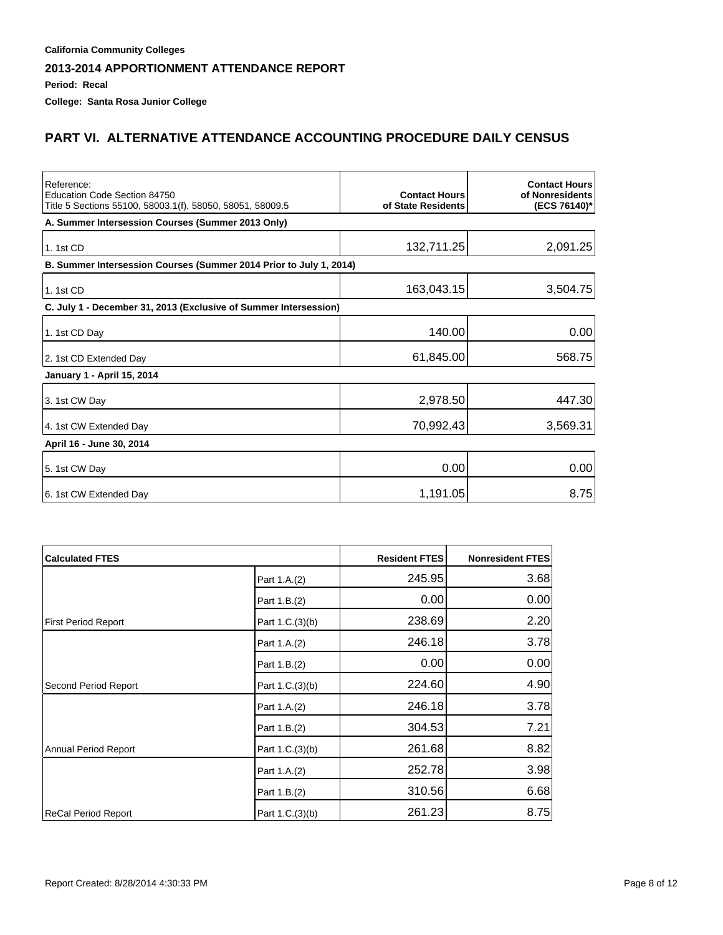**Period: Recal**

**College: Santa Rosa Junior College**

## **PART VI. ALTERNATIVE ATTENDANCE ACCOUNTING PROCEDURE DAILY CENSUS**

| Reference:<br>Education Code Section 84750<br>Title 5 Sections 55100, 58003.1(f), 58050, 58051, 58009.5 | <b>Contact Hours</b><br>of State Residents | <b>Contact Hours</b><br>of Nonresidents<br>(ECS 76140)* |
|---------------------------------------------------------------------------------------------------------|--------------------------------------------|---------------------------------------------------------|
| A. Summer Intersession Courses (Summer 2013 Only)                                                       |                                            |                                                         |
| 1.1st CD                                                                                                | 132,711.25                                 | 2,091.25                                                |
| B. Summer Intersession Courses (Summer 2014 Prior to July 1, 2014)                                      |                                            |                                                         |
| 1.1st CD                                                                                                | 163,043.15                                 | 3,504.75                                                |
| C. July 1 - December 31, 2013 (Exclusive of Summer Intersession)                                        |                                            |                                                         |
| 1. 1st CD Day                                                                                           | 140.00                                     | 0.00                                                    |
| 2. 1st CD Extended Day                                                                                  | 61,845.00                                  | 568.75                                                  |
| January 1 - April 15, 2014                                                                              |                                            |                                                         |
| 3. 1st CW Day                                                                                           | 2,978.50                                   | 447.30                                                  |
| 4. 1st CW Extended Day                                                                                  | 70,992.43                                  | 3,569.31                                                |
| April 16 - June 30, 2014                                                                                |                                            |                                                         |
| 5. 1st CW Day                                                                                           | 0.00                                       | 0.00                                                    |
| 6. 1st CW Extended Day                                                                                  | 1,191.05                                   | 8.75                                                    |

| <b>Calculated FTES</b>     |                 | <b>Resident FTES</b> | <b>Nonresident FTES</b> |
|----------------------------|-----------------|----------------------|-------------------------|
|                            | Part 1.A.(2)    | 245.95               | 3.68                    |
|                            | Part 1.B.(2)    | 0.00                 | 0.00                    |
| <b>First Period Report</b> | Part 1.C.(3)(b) | 238.69               | 2.20                    |
|                            | Part 1.A.(2)    | 246.18               | 3.78                    |
|                            | Part 1.B.(2)    | 0.00                 | 0.00                    |
| Second Period Report       | Part 1.C.(3)(b) | 224.60               | 4.90                    |
|                            | Part 1.A.(2)    | 246.18               | 3.78                    |
|                            | Part 1.B.(2)    | 304.53               | 7.21                    |
| Annual Period Report       | Part 1.C.(3)(b) | 261.68               | 8.82                    |
|                            | Part 1.A.(2)    | 252.78               | 3.98                    |
|                            | Part 1.B.(2)    | 310.56               | 6.68                    |
| ReCal Period Report        | Part 1.C.(3)(b) | 261.23               | 8.75                    |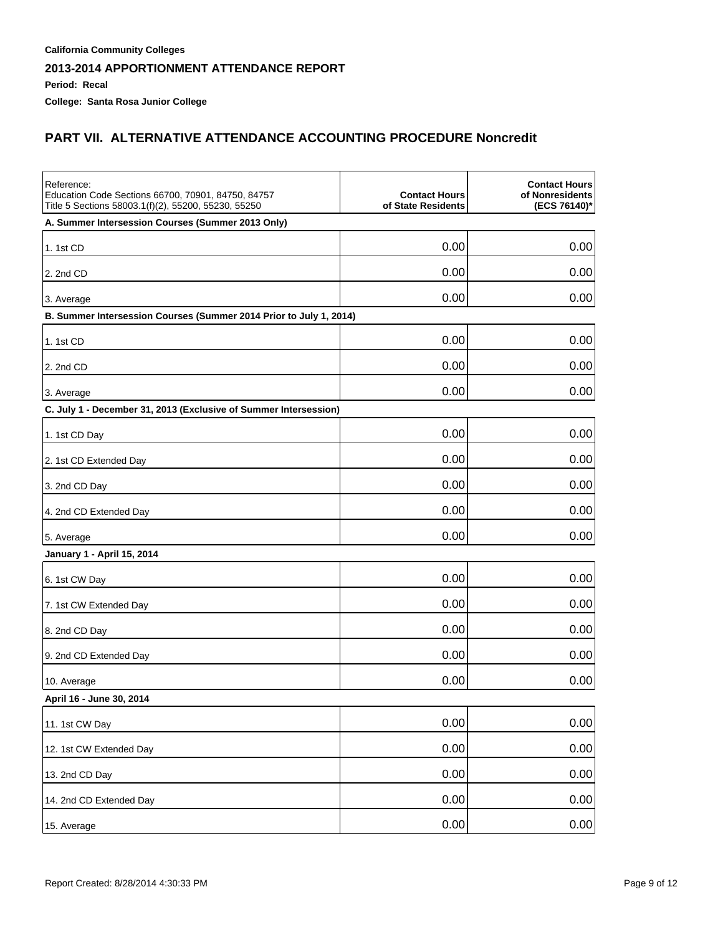**Period: Recal**

**College: Santa Rosa Junior College**

### **PART VII. ALTERNATIVE ATTENDANCE ACCOUNTING PROCEDURE Noncredit**

| Reference:<br>Education Code Sections 66700, 70901, 84750, 84757<br>Title 5 Sections 58003.1(f)(2), 55200, 55230, 55250 | <b>Contact Hours</b><br>of State Residents | <b>Contact Hours</b><br>of Nonresidents<br>(ECS 76140)* |
|-------------------------------------------------------------------------------------------------------------------------|--------------------------------------------|---------------------------------------------------------|
| A. Summer Intersession Courses (Summer 2013 Only)                                                                       |                                            |                                                         |
| 1. 1st CD                                                                                                               | 0.00                                       | 0.00                                                    |
| 2. 2nd CD                                                                                                               | 0.00                                       | 0.00                                                    |
| 3. Average                                                                                                              | 0.00                                       | 0.00                                                    |
| B. Summer Intersession Courses (Summer 2014 Prior to July 1, 2014)                                                      |                                            |                                                         |
| 1. 1st CD                                                                                                               | 0.00                                       | 0.00                                                    |
| 2. 2nd CD                                                                                                               | 0.00                                       | 0.00                                                    |
| 3. Average                                                                                                              | 0.00                                       | 0.00                                                    |
| C. July 1 - December 31, 2013 (Exclusive of Summer Intersession)                                                        |                                            |                                                         |
| 1. 1st CD Day                                                                                                           | 0.00                                       | 0.00                                                    |
| 2. 1st CD Extended Day                                                                                                  | 0.00                                       | 0.00                                                    |
| 3. 2nd CD Day                                                                                                           | 0.00                                       | 0.00                                                    |
| 4. 2nd CD Extended Day                                                                                                  | 0.00                                       | 0.00                                                    |
| 5. Average                                                                                                              | 0.00                                       | 0.00                                                    |
| January 1 - April 15, 2014                                                                                              |                                            |                                                         |
| 6. 1st CW Day                                                                                                           | 0.00                                       | 0.00                                                    |
| 7. 1st CW Extended Day                                                                                                  | 0.00                                       | 0.00                                                    |
| 8. 2nd CD Day                                                                                                           | 0.00                                       | 0.00                                                    |
| 9. 2nd CD Extended Day                                                                                                  | 0.00                                       | 0.00                                                    |
| 10. Average                                                                                                             | 0.00                                       | 0.00                                                    |
| April 16 - June 30, 2014                                                                                                |                                            |                                                         |
| 11. 1st CW Day                                                                                                          | 0.00                                       | 0.00                                                    |
| 12. 1st CW Extended Day                                                                                                 | 0.00                                       | 0.00                                                    |
| 13. 2nd CD Day                                                                                                          | 0.00                                       | 0.00                                                    |
| 14. 2nd CD Extended Day                                                                                                 | 0.00                                       | 0.00                                                    |
| 15. Average                                                                                                             | 0.00                                       | 0.00                                                    |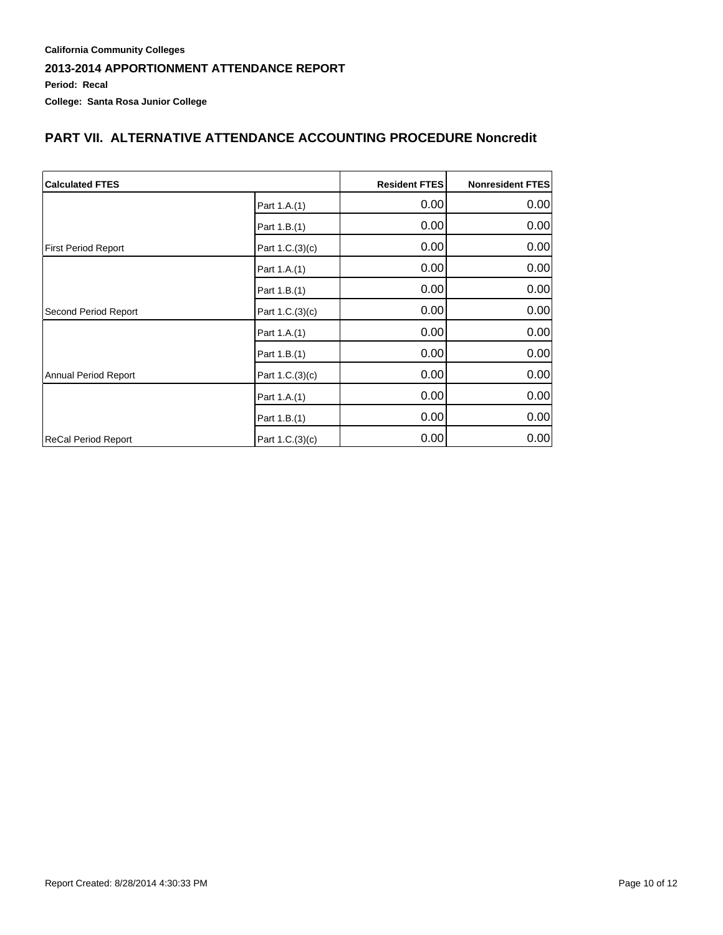# **PART VII. ALTERNATIVE ATTENDANCE ACCOUNTING PROCEDURE Noncredit**

| <b>Calculated FTES</b>     |                 | <b>Resident FTES</b> | Nonresident FTES |
|----------------------------|-----------------|----------------------|------------------|
|                            | Part 1.A.(1)    | 0.00                 | 0.00             |
|                            | Part 1.B.(1)    | 0.00                 | 0.00             |
| <b>First Period Report</b> | Part 1.C.(3)(c) | 0.00                 | 0.00             |
|                            | Part 1.A.(1)    | 0.00                 | 0.00             |
|                            | Part 1.B.(1)    | 0.00                 | 0.00             |
| Second Period Report       | Part 1.C.(3)(c) | 0.00                 | 0.00             |
|                            | Part 1.A.(1)    | 0.00                 | 0.00             |
|                            | Part 1.B.(1)    | 0.00                 | 0.00             |
| Annual Period Report       | Part 1.C.(3)(c) | 0.00                 | 0.00             |
|                            | Part 1.A.(1)    | 0.00                 | 0.00             |
|                            | Part 1.B.(1)    | 0.00                 | 0.00             |
| ReCal Period Report        | Part 1.C.(3)(c) | 0.00                 | 0.00             |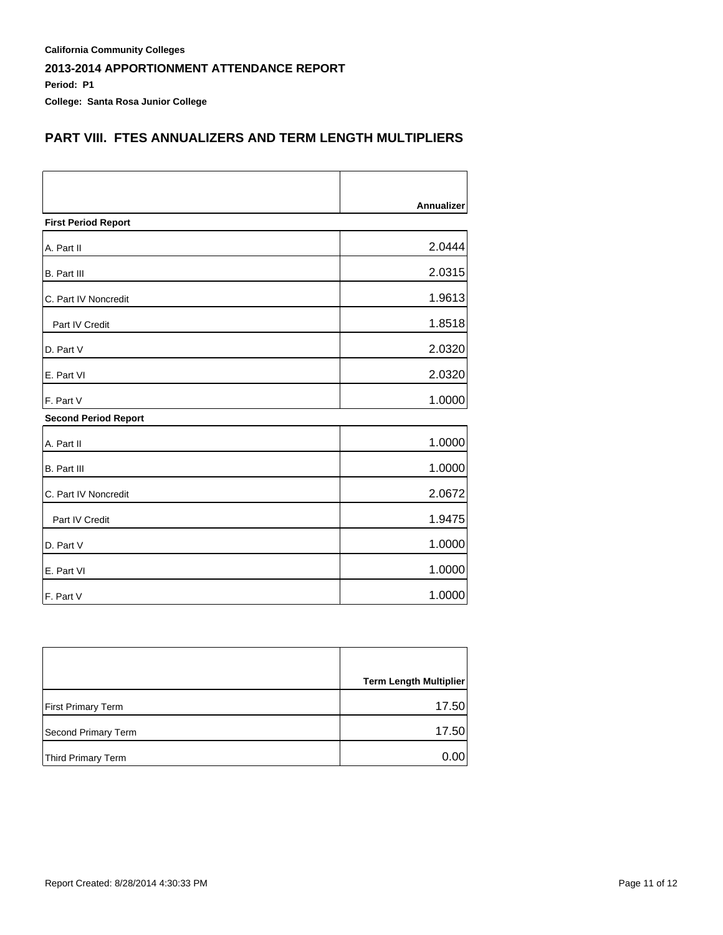**Period: P1**

**College: Santa Rosa Junior College**

### **PART VIII. FTES ANNUALIZERS AND TERM LENGTH MULTIPLIERS**

|                             | Annualizer |
|-----------------------------|------------|
| <b>First Period Report</b>  |            |
| A. Part II                  | 2.0444     |
| <b>B.</b> Part III          | 2.0315     |
| C. Part IV Noncredit        | 1.9613     |
| Part IV Credit              | 1.8518     |
| D. Part V                   | 2.0320     |
| E. Part VI                  | 2.0320     |
| F. Part V                   | 1.0000     |
| <b>Second Period Report</b> |            |
| A. Part II                  | 1.0000     |
| <b>B.</b> Part III          | 1.0000     |
| C. Part IV Noncredit        | 2.0672     |
| Part IV Credit              | 1.9475     |
| D. Part V                   | 1.0000     |
| E. Part VI                  | 1.0000     |
| F. Part V                   | 1.0000     |

|                           | <b>Term Length Multiplier</b> |
|---------------------------|-------------------------------|
| <b>First Primary Term</b> | 17.50                         |
| Second Primary Term       | 17.50                         |
| Third Primary Term        | 0.00                          |